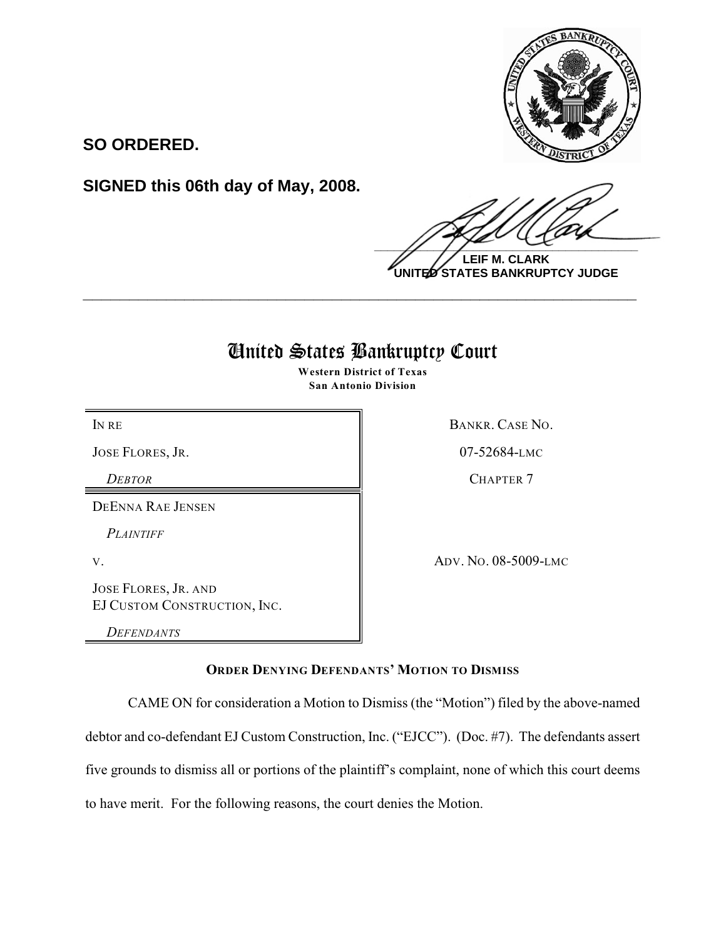

**SO ORDERED.**

**SIGNED this 06th day of May, 2008.**

 $\frac{1}{2}$ 

**LEIF M. CLARK UNITED STATES BANKRUPTCY JUDGE**

# United States Bankruptcy Court

**\_\_\_\_\_\_\_\_\_\_\_\_\_\_\_\_\_\_\_\_\_\_\_\_\_\_\_\_\_\_\_\_\_\_\_\_\_\_\_\_\_\_\_\_\_\_\_\_\_\_\_\_\_\_\_\_\_\_\_\_**

**Western District of Texas San Antonio Division**

JOSE FLORES, JR. 07-52684-LMC

DEENNA RAE JENSEN

*PLAINTIFF* 

JOSE FLORES, JR. AND EJ CUSTOM CONSTRUCTION, INC.

*DEFENDANTS*

IN RE BANKR. CASE NO.

**DEBTOR** CHAPTER 7

V. ADV. NO. 08-5009-LMC

### **ORDER DENYING DEFENDANTS' MOTION TO DISMISS**

CAME ON for consideration a Motion to Dismiss (the "Motion") filed by the above-named debtor and co-defendant EJ Custom Construction, Inc. ("EJCC"). (Doc. #7). The defendants assert five grounds to dismiss all or portions of the plaintiff's complaint, none of which this court deems to have merit. For the following reasons, the court denies the Motion.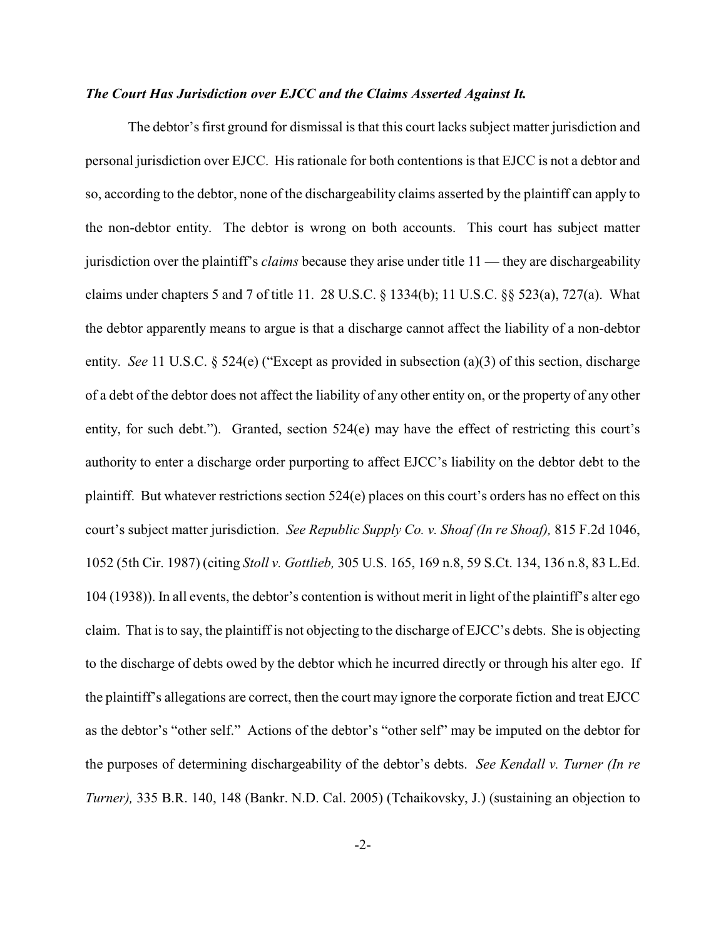#### *The Court Has Jurisdiction over EJCC and the Claims Asserted Against It.*

The debtor's first ground for dismissal is that this court lacks subject matter jurisdiction and personal jurisdiction over EJCC. His rationale for both contentions is that EJCC is not a debtor and so, according to the debtor, none of the dischargeability claims asserted by the plaintiff can apply to the non-debtor entity. The debtor is wrong on both accounts. This court has subject matter jurisdiction over the plaintiff's *claims* because they arise under title 11 — they are dischargeability claims under chapters 5 and 7 of title 11. 28 U.S.C.  $\S$  1334(b); 11 U.S.C.  $\S$  523(a), 727(a). What the debtor apparently means to argue is that a discharge cannot affect the liability of a non-debtor entity. *See* 11 U.S.C. § 524(e) ("Except as provided in subsection (a)(3) of this section, discharge of a debt of the debtor does not affect the liability of any other entity on, or the property of any other entity, for such debt."). Granted, section 524(e) may have the effect of restricting this court's authority to enter a discharge order purporting to affect EJCC's liability on the debtor debt to the plaintiff. But whatever restrictions section 524(e) places on this court's orders has no effect on this court's subject matter jurisdiction. *See Republic Supply Co. v. Shoaf (In re Shoaf),* 815 F.2d 1046, 1052 (5th Cir. 1987) (citing *Stoll v. Gottlieb,* 305 U.S. 165, 169 n.8, 59 S.Ct. 134, 136 n.8, 83 L.Ed. 104 (1938)). In all events, the debtor's contention is without merit in light of the plaintiff's alter ego claim. That is to say, the plaintiff is not objecting to the discharge of EJCC's debts. She is objecting to the discharge of debts owed by the debtor which he incurred directly or through his alter ego. If the plaintiff's allegations are correct, then the court may ignore the corporate fiction and treat EJCC as the debtor's "other self." Actions of the debtor's "other self" may be imputed on the debtor for the purposes of determining dischargeability of the debtor's debts. *See Kendall v. Turner (In re Turner),* 335 B.R. 140, 148 (Bankr. N.D. Cal. 2005) (Tchaikovsky, J.) (sustaining an objection to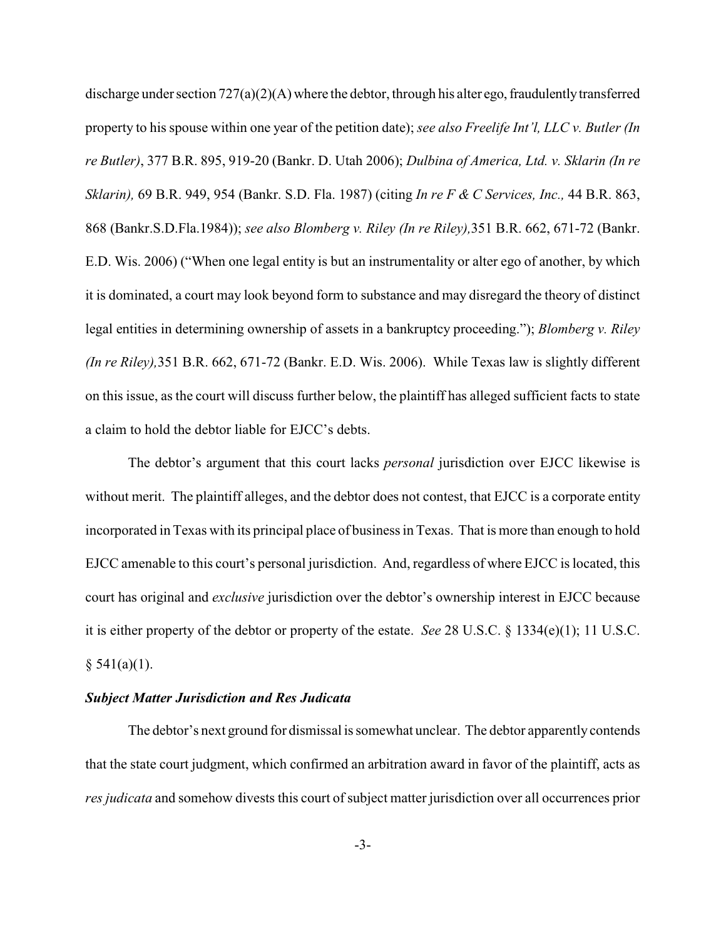discharge under section 727(a)(2)(A) where the debtor, through his alter ego, fraudulently transferred property to hisspouse within one year of the petition date); *see also Freelife Int'l, LLC v. Butler (In re Butler)*, 377 B.R. 895, 919-20 (Bankr. D. Utah 2006); *Dulbina of America, Ltd. v. Sklarin (In re Sklarin),* 69 B.R. 949, 954 (Bankr. S.D. Fla. 1987) (citing *In re F & C Services, Inc.,* 44 B.R. 863, 868 (Bankr.S.D.Fla.1984)); *see also Blomberg v. Riley (In re Riley),*351 B.R. 662, 671-72 (Bankr. E.D. Wis. 2006) ("When one legal entity is but an instrumentality or alter ego of another, by which it is dominated, a court may look beyond form to substance and may disregard the theory of distinct legal entities in determining ownership of assets in a bankruptcy proceeding."); *Blomberg v. Riley (In re Riley),*351 B.R. 662, 671-72 (Bankr. E.D. Wis. 2006). While Texas law is slightly different on this issue, as the court will discuss further below, the plaintiff has alleged sufficient facts to state a claim to hold the debtor liable for EJCC's debts.

The debtor's argument that this court lacks *personal* jurisdiction over EJCC likewise is without merit. The plaintiff alleges, and the debtor does not contest, that EJCC is a corporate entity incorporated in Texas with its principal place of business in Texas. That is more than enough to hold EJCC amenable to this court's personal jurisdiction. And, regardless of where EJCC is located, this court has original and *exclusive* jurisdiction over the debtor's ownership interest in EJCC because it is either property of the debtor or property of the estate. *See* 28 U.S.C. § 1334(e)(1); 11 U.S.C.  $§ 541(a)(1).$ 

#### *Subject Matter Jurisdiction and Res Judicata*

The debtor's next ground for dismissal is somewhat unclear. The debtor apparently contends that the state court judgment, which confirmed an arbitration award in favor of the plaintiff, acts as *res judicata* and somehow divests this court of subject matter jurisdiction over all occurrences prior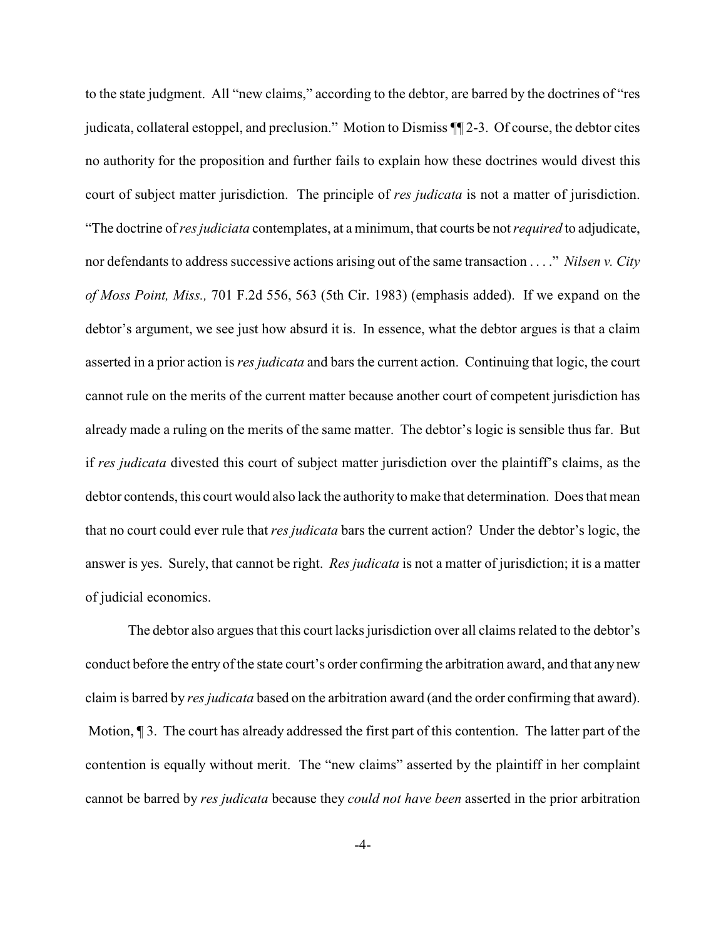to the state judgment. All "new claims," according to the debtor, are barred by the doctrines of "res judicata, collateral estoppel, and preclusion." Motion to Dismiss ¶¶ 2-3. Of course, the debtor cites no authority for the proposition and further fails to explain how these doctrines would divest this court of subject matter jurisdiction. The principle of *res judicata* is not a matter of jurisdiction. "The doctrine of*res judiciata* contemplates, at a minimum, that courts be not *required* to adjudicate, nor defendants to address successive actions arising out of the same transaction . . . ." *Nilsen v. City of Moss Point, Miss.,* 701 F.2d 556, 563 (5th Cir. 1983) (emphasis added). If we expand on the debtor's argument, we see just how absurd it is. In essence, what the debtor argues is that a claim asserted in a prior action is*res judicata* and bars the current action. Continuing that logic, the court cannot rule on the merits of the current matter because another court of competent jurisdiction has already made a ruling on the merits of the same matter. The debtor's logic is sensible thus far. But if *res judicata* divested this court of subject matter jurisdiction over the plaintiff's claims, as the debtor contends, this court would also lack the authority to make that determination. Does that mean that no court could ever rule that *res judicata* bars the current action? Under the debtor's logic, the answer is yes. Surely, that cannot be right. *Res judicata* is not a matter of jurisdiction; it is a matter of judicial economics.

The debtor also argues that this court lacks jurisdiction over all claims related to the debtor's conduct before the entry of the state court's order confirming the arbitration award, and that any new claim is barred by *res judicata* based on the arbitration award (and the order confirming that award). Motion,  $\P$  3. The court has already addressed the first part of this contention. The latter part of the contention is equally without merit. The "new claims" asserted by the plaintiff in her complaint cannot be barred by *res judicata* because they *could not have been* asserted in the prior arbitration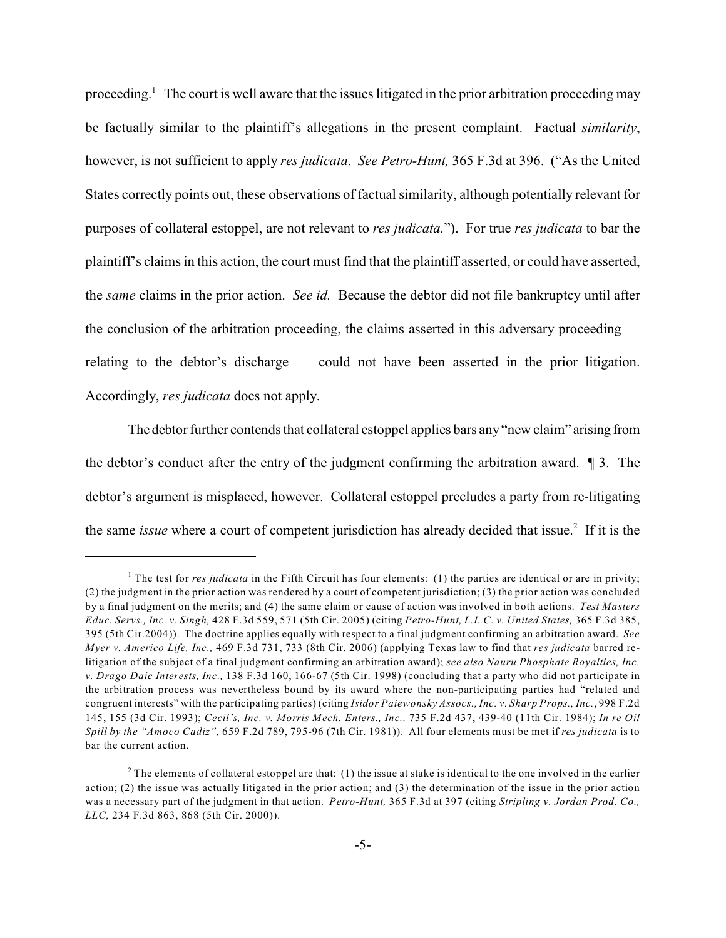proceeding.<sup>1</sup> The court is well aware that the issues litigated in the prior arbitration proceeding may be factually similar to the plaintiff's allegations in the present complaint. Factual *similarity*, however, is not sufficient to apply *res judicata*. *See Petro-Hunt,* 365 F.3d at 396. ("As the United States correctly points out, these observations of factual similarity, although potentially relevant for purposes of collateral estoppel, are not relevant to *res judicata.*"). For true *res judicata* to bar the plaintiff's claims in this action, the court must find that the plaintiff asserted, or could have asserted, the *same* claims in the prior action. *See id.* Because the debtor did not file bankruptcy until after the conclusion of the arbitration proceeding, the claims asserted in this adversary proceeding relating to the debtor's discharge — could not have been asserted in the prior litigation. Accordingly, *res judicata* does not apply.

The debtor further contends that collateral estoppel applies bars any "new claim" arising from the debtor's conduct after the entry of the judgment confirming the arbitration award. ¶ 3. The debtor's argument is misplaced, however. Collateral estoppel precludes a party from re-litigating the same *issue* where a court of competent jurisdiction has already decided that issue.<sup>2</sup> If it is the

<sup>&</sup>lt;sup>1</sup> The test for *res judicata* in the Fifth Circuit has four elements: (1) the parties are identical or are in privity; (2) the judgment in the prior action was rendered by a court of competent jurisdiction; (3) the prior action was concluded by a final judgment on the merits; and (4) the same claim or cause of action was involved in both actions. *Test Masters Educ. Servs., Inc. v. Singh,* 428 F.3d 559, 571 (5th Cir. 2005) (citing *Petro-Hunt, L.L.C. v. United States,* 365 F.3d 385, 395 (5th Cir.2004)). The doctrine applies equally with respect to a final judgment confirming an arbitration award. *See Myer v. Americo Life, Inc.,* 469 F.3d 731, 733 (8th Cir. 2006) (applying Texas law to find that *res judicata* barred relitigation of the subject of a final judgment confirming an arbitration award); *see also Nauru Phosphate Royalties, Inc. v. Drago Daic Interests, Inc.,* 138 F.3d 160, 166-67 (5th Cir. 1998) (concluding that a party who did not participate in the arbitration process was nevertheless bound by its award where the non-participating parties had "related and congruent interests" with the participating parties) (citing *Isidor Paiewonsky Assocs., Inc. v. Sharp Props., Inc.*, 998 F.2d 145, 155 (3d Cir. 1993); *Cecil's, Inc. v. Morris Mech. Enters., Inc.,* 735 F.2d 437, 439-40 (11th Cir. 1984); *In re Oil Spill by the "Amoco Cadiz",* 659 F.2d 789, 795-96 (7th Cir. 1981)). All four elements must be met if *res judicata* is to bar the current action.

<sup>&</sup>lt;sup>2</sup> The elements of collateral estoppel are that: (1) the issue at stake is identical to the one involved in the earlier action; (2) the issue was actually litigated in the prior action; and (3) the determination of the issue in the prior action was a necessary part of the judgment in that action. *Petro-Hunt,* 365 F.3d at 397 (citing *Stripling v. Jordan Prod. Co., LLC,* 234 F.3d 863, 868 (5th Cir. 2000)).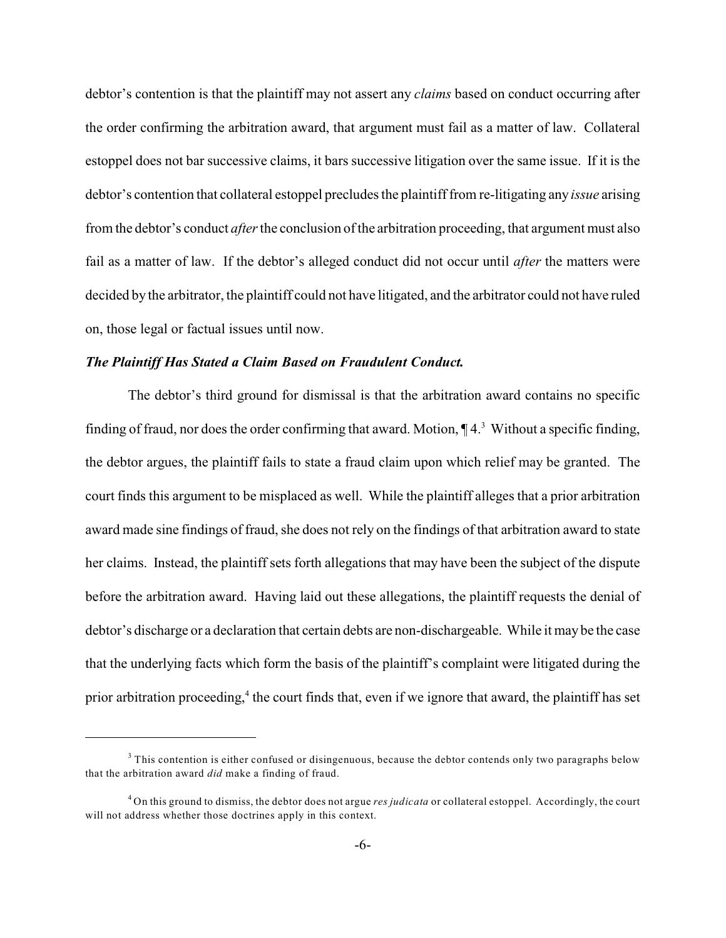debtor's contention is that the plaintiff may not assert any *claims* based on conduct occurring after the order confirming the arbitration award, that argument must fail as a matter of law. Collateral estoppel does not bar successive claims, it bars successive litigation over the same issue. If it is the debtor's contention that collateral estoppel precludes the plaintiff from re-litigating any *issue* arising from the debtor's conduct *after* the conclusion of the arbitration proceeding, that argument must also fail as a matter of law. If the debtor's alleged conduct did not occur until *after* the matters were decided by the arbitrator, the plaintiff could not have litigated, and the arbitrator could not have ruled on, those legal or factual issues until now.

#### *The Plaintiff Has Stated a Claim Based on Fraudulent Conduct.*

The debtor's third ground for dismissal is that the arbitration award contains no specific finding of fraud, nor does the order confirming that award. Motion,  $\P$ 4.<sup>3</sup> Without a specific finding, the debtor argues, the plaintiff fails to state a fraud claim upon which relief may be granted. The court finds this argument to be misplaced as well. While the plaintiff alleges that a prior arbitration award made sine findings of fraud, she does not rely on the findings of that arbitration award to state her claims. Instead, the plaintiff sets forth allegations that may have been the subject of the dispute before the arbitration award. Having laid out these allegations, the plaintiff requests the denial of debtor's discharge or a declaration that certain debts are non-dischargeable. While it may be the case that the underlying facts which form the basis of the plaintiff's complaint were litigated during the prior arbitration proceeding, $4$  the court finds that, even if we ignore that award, the plaintiff has set

 $3$  This contention is either confused or disingenuous, because the debtor contends only two paragraphs below that the arbitration award *did* make a finding of fraud.

On this ground to dismiss, the debtor does not argue *res judicata* or collateral estoppel. Accordingly, the court <sup>4</sup> will not address whether those doctrines apply in this context.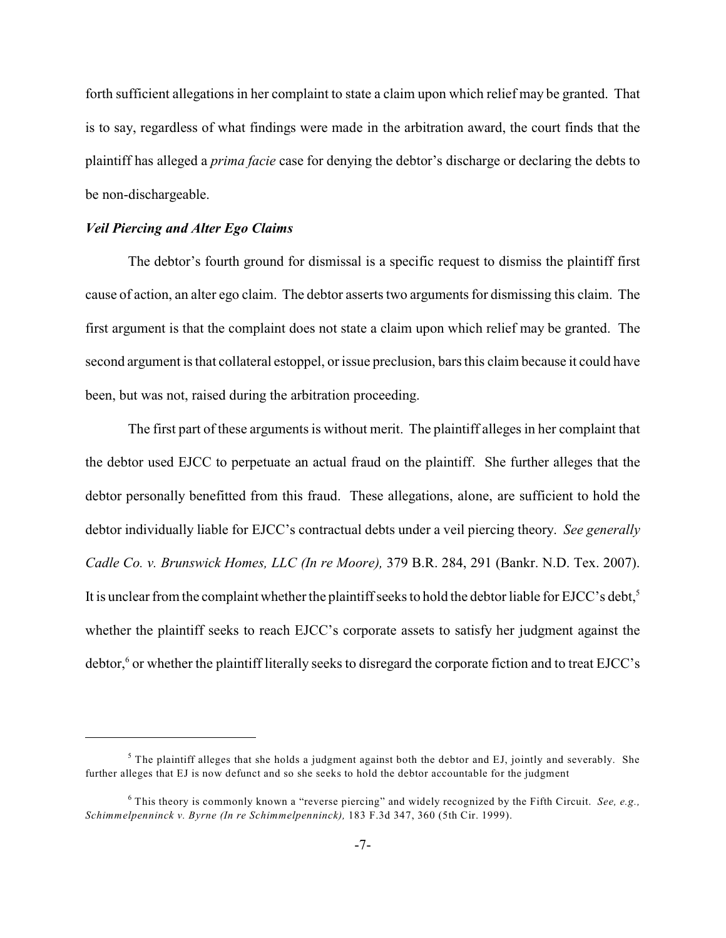forth sufficient allegations in her complaint to state a claim upon which relief may be granted. That is to say, regardless of what findings were made in the arbitration award, the court finds that the plaintiff has alleged a *prima facie* case for denying the debtor's discharge or declaring the debts to be non-dischargeable.

#### *Veil Piercing and Alter Ego Claims*

The debtor's fourth ground for dismissal is a specific request to dismiss the plaintiff first cause of action, an alter ego claim. The debtor asserts two arguments for dismissing this claim. The first argument is that the complaint does not state a claim upon which relief may be granted. The second argument is that collateral estoppel, or issue preclusion, bars this claim because it could have been, but was not, raised during the arbitration proceeding.

The first part of these arguments is without merit. The plaintiff alleges in her complaint that the debtor used EJCC to perpetuate an actual fraud on the plaintiff. She further alleges that the debtor personally benefitted from this fraud. These allegations, alone, are sufficient to hold the debtor individually liable for EJCC's contractual debts under a veil piercing theory. *See generally Cadle Co. v. Brunswick Homes, LLC (In re Moore),* 379 B.R. 284, 291 (Bankr. N.D. Tex. 2007). It is unclear from the complaint whether the plaintiff seeks to hold the debtor liable for EJCC's debt,<sup>5</sup> whether the plaintiff seeks to reach EJCC's corporate assets to satisfy her judgment against the debtor,<sup>6</sup> or whether the plaintiff literally seeks to disregard the corporate fiction and to treat EJCC's

 $<sup>5</sup>$  The plaintiff alleges that she holds a judgment against both the debtor and EJ, jointly and severably. She</sup> further alleges that EJ is now defunct and so she seeks to hold the debtor accountable for the judgment

<sup>&</sup>lt;sup>6</sup> This theory is commonly known a "reverse piercing" and widely recognized by the Fifth Circuit. See, e.g., *Schimmelpenninck v. Byrne (In re Schimmelpenninck),* 183 F.3d 347, 360 (5th Cir. 1999).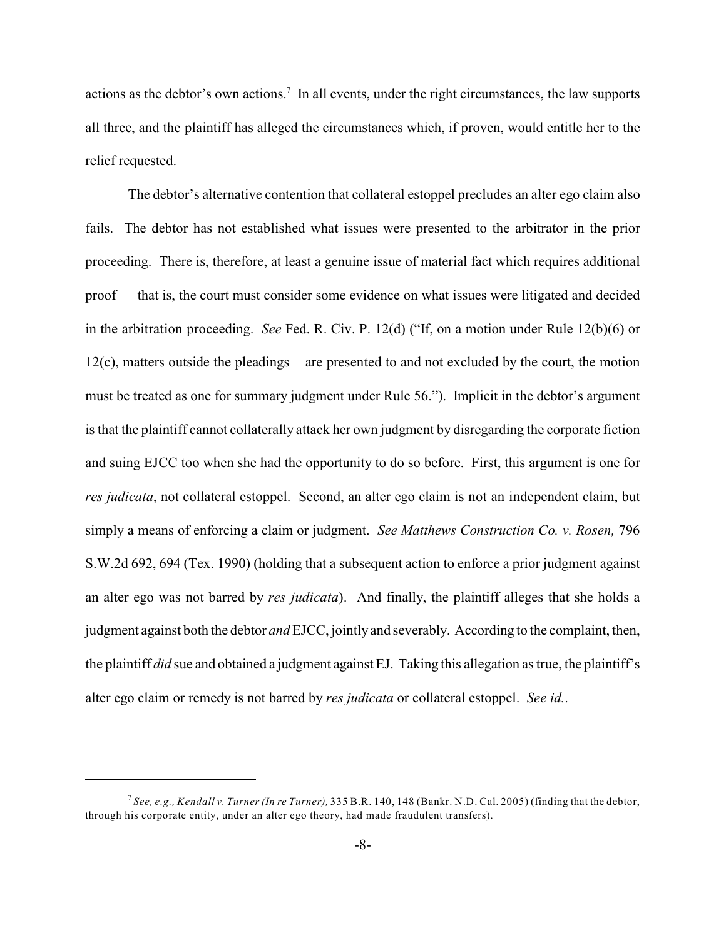actions as the debtor's own actions.<sup>7</sup> In all events, under the right circumstances, the law supports all three, and the plaintiff has alleged the circumstances which, if proven, would entitle her to the relief requested.

The debtor's alternative contention that collateral estoppel precludes an alter ego claim also fails. The debtor has not established what issues were presented to the arbitrator in the prior proceeding. There is, therefore, at least a genuine issue of material fact which requires additional proof — that is, the court must consider some evidence on what issues were litigated and decided in the arbitration proceeding. *See* Fed. R. Civ. P. 12(d) ("If, on a motion under Rule 12(b)(6) or 12(c), matters outside the pleadings are presented to and not excluded by the court, the motion must be treated as one for summary judgment under Rule 56."). Implicit in the debtor's argument is that the plaintiff cannot collaterally attack her own judgment by disregarding the corporate fiction and suing EJCC too when she had the opportunity to do so before. First, this argument is one for *res judicata*, not collateral estoppel. Second, an alter ego claim is not an independent claim, but simply a means of enforcing a claim or judgment. *See Matthews Construction Co. v. Rosen,* 796 S.W.2d 692, 694 (Tex. 1990) (holding that a subsequent action to enforce a prior judgment against an alter ego was not barred by *res judicata*). And finally, the plaintiff alleges that she holds a judgment against both the debtor *and* EJCC, jointlyand severably. According to the complaint, then, the plaintiff *did* sue and obtained a judgment against EJ. Taking this allegation as true, the plaintiff's alter ego claim or remedy is not barred by *res judicata* or collateral estoppel. *See id.*.

*See, e.g., Kendall v. Turner (In re Turner),* 335 B.R. 140, 148 (Bankr. N.D. Cal. 2005) (finding that the debtor, <sup>7</sup> through his corporate entity, under an alter ego theory, had made fraudulent transfers).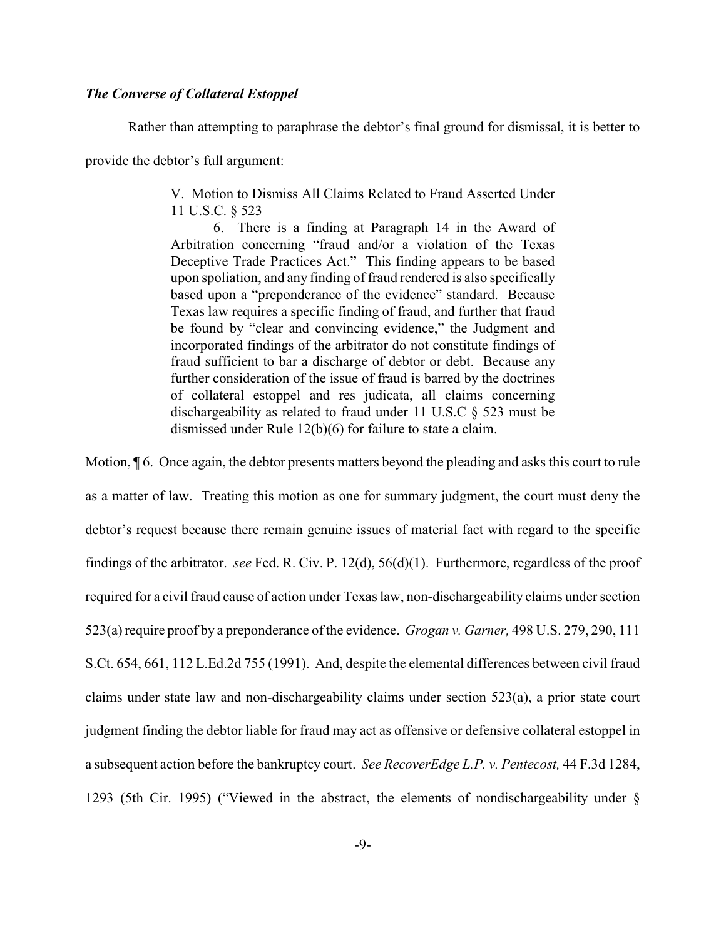#### *The Converse of Collateral Estoppel*

Rather than attempting to paraphrase the debtor's final ground for dismissal, it is better to

provide the debtor's full argument:

#### V. Motion to Dismiss All Claims Related to Fraud Asserted Under 11 U.S.C. § 523

6. There is a finding at Paragraph 14 in the Award of Arbitration concerning "fraud and/or a violation of the Texas Deceptive Trade Practices Act." This finding appears to be based upon spoliation, and any finding of fraud rendered is also specifically based upon a "preponderance of the evidence" standard. Because Texas law requires a specific finding of fraud, and further that fraud be found by "clear and convincing evidence," the Judgment and incorporated findings of the arbitrator do not constitute findings of fraud sufficient to bar a discharge of debtor or debt. Because any further consideration of the issue of fraud is barred by the doctrines of collateral estoppel and res judicata, all claims concerning dischargeability as related to fraud under 11 U.S.C § 523 must be dismissed under Rule 12(b)(6) for failure to state a claim.

Motion,  $\sqrt{\frac{1}{16}}$  6. Once again, the debtor presents matters beyond the pleading and asks this court to rule as a matter of law. Treating this motion as one for summary judgment, the court must deny the debtor's request because there remain genuine issues of material fact with regard to the specific findings of the arbitrator. *see* Fed. R. Civ. P. 12(d), 56(d)(1). Furthermore, regardless of the proof required for a civil fraud cause of action under Texas law, non-dischargeability claims under section 523(a)require proof by a preponderance of the evidence. *Grogan v. Garner,* 498 U.S. 279, 290, 111 S.Ct. 654, 661, 112 L.Ed.2d 755 (1991). And, despite the elemental differences between civil fraud claims under state law and non-dischargeability claims under section 523(a), a prior state court judgment finding the debtor liable for fraud may act as offensive or defensive collateral estoppel in a subsequent action before the bankruptcy court. *See RecoverEdge L.P. v. Pentecost,* 44 F.3d 1284, 1293 (5th Cir. 1995) ("Viewed in the abstract, the elements of nondischargeability under §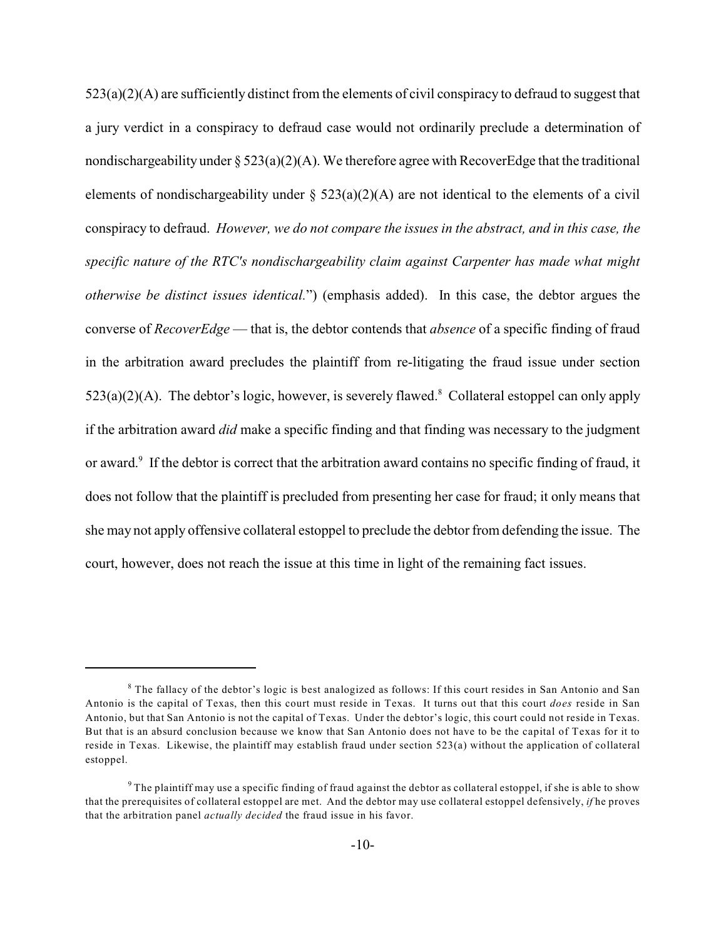$523(a)(2)(A)$  are sufficiently distinct from the elements of civil conspiracy to defraud to suggest that a jury verdict in a conspiracy to defraud case would not ordinarily preclude a determination of nondischargeability under  $\S 523(a)(2)(A)$ . We therefore agree with RecoverEdge that the traditional elements of nondischargeability under  $\S$  523(a)(2)(A) are not identical to the elements of a civil conspiracy to defraud. *However, we do not compare the issues in the abstract, and in this case, the specific nature of the RTC's nondischargeability claim against Carpenter has made what might otherwise be distinct issues identical.*") (emphasis added). In this case, the debtor argues the converse of *RecoverEdge* — that is, the debtor contends that *absence* of a specific finding of fraud in the arbitration award precludes the plaintiff from re-litigating the fraud issue under section  $523(a)(2)(A)$ . The debtor's logic, however, is severely flawed.<sup>8</sup> Collateral estoppel can only apply if the arbitration award *did* make a specific finding and that finding was necessary to the judgment or award.<sup>9</sup> If the debtor is correct that the arbitration award contains no specific finding of fraud, it does not follow that the plaintiff is precluded from presenting her case for fraud; it only means that she may not apply offensive collateral estoppel to preclude the debtor from defending the issue. The court, however, does not reach the issue at this time in light of the remaining fact issues.

 $8$  The fallacy of the debtor's logic is best analogized as follows: If this court resides in San Antonio and San Antonio is the capital of Texas, then this court must reside in Texas. It turns out that this court *does* reside in San Antonio, but that San Antonio is not the capital of Texas. Under the debtor's logic, this court could not reside in Texas. But that is an absurd conclusion because we know that San Antonio does not have to be the capital of Texas for it to reside in Texas. Likewise, the plaintiff may establish fraud under section 523(a) without the application of collateral estoppel.

 $9$  The plaintiff may use a specific finding of fraud against the debtor as collateral estoppel, if she is able to show that the prerequisites of collateral estoppel are met. And the debtor may use collateral estoppel defensively, *if* he proves that the arbitration panel *actually decided* the fraud issue in his favor.